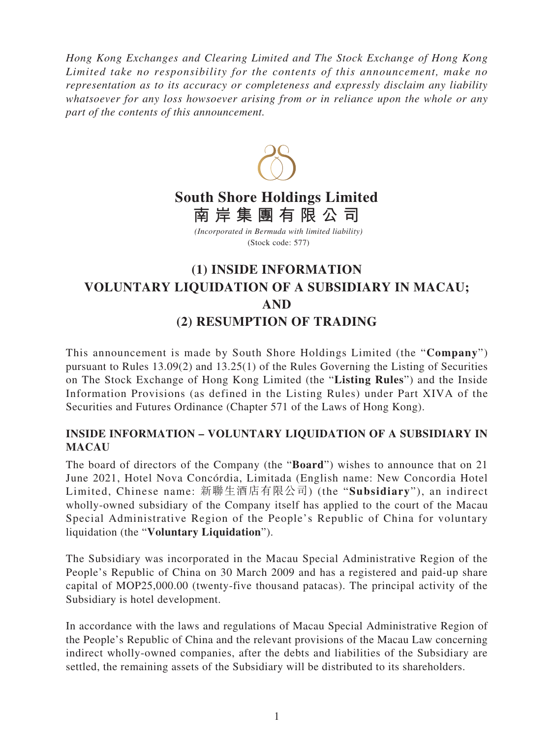*Hong Kong Exchanges and Clearing Limited and The Stock Exchange of Hong Kong Limited take no responsibility for the contents of this announcement, make no representation as to its accuracy or completeness and expressly disclaim any liability whatsoever for any loss howsoever arising from or in reliance upon the whole or any part of the contents of this announcement.*



## **South Shore Holdings Limited 南岸集團有限公司**

*(Incorporated in Bermuda with limited liability)* (Stock code: 577)

## **(1) INSIDE INFORMATION VOLUNTARY LIQUIDATION OF A SUBSIDIARY IN MACAU; AND (2) RESUMPTION OF TRADING**

This announcement is made by South Shore Holdings Limited (the "**Company**") pursuant to Rules 13.09(2) and 13.25(1) of the Rules Governing the Listing of Securities on The Stock Exchange of Hong Kong Limited (the "**Listing Rules**") and the Inside Information Provisions (as defined in the Listing Rules) under Part XIVA of the Securities and Futures Ordinance (Chapter 571 of the Laws of Hong Kong).

## **INSIDE INFORMATION – VOLUNTARY LIQUIDATION OF A SUBSIDIARY IN MACAU**

The board of directors of the Company (the "**Board**") wishes to announce that on 21 June 2021, Hotel Nova Concórdia, Limitada (English name: New Concordia Hotel Limited, Chinese name: 新聯生酒店有限公司) (the "**Subsidiary**"), an indirect wholly-owned subsidiary of the Company itself has applied to the court of the Macau Special Administrative Region of the People's Republic of China for voluntary liquidation (the "**Voluntary Liquidation**").

The Subsidiary was incorporated in the Macau Special Administrative Region of the People's Republic of China on 30 March 2009 and has a registered and paid-up share capital of MOP25,000.00 (twenty-five thousand patacas). The principal activity of the Subsidiary is hotel development.

In accordance with the laws and regulations of Macau Special Administrative Region of the People's Republic of China and the relevant provisions of the Macau Law concerning indirect wholly-owned companies, after the debts and liabilities of the Subsidiary are settled, the remaining assets of the Subsidiary will be distributed to its shareholders.